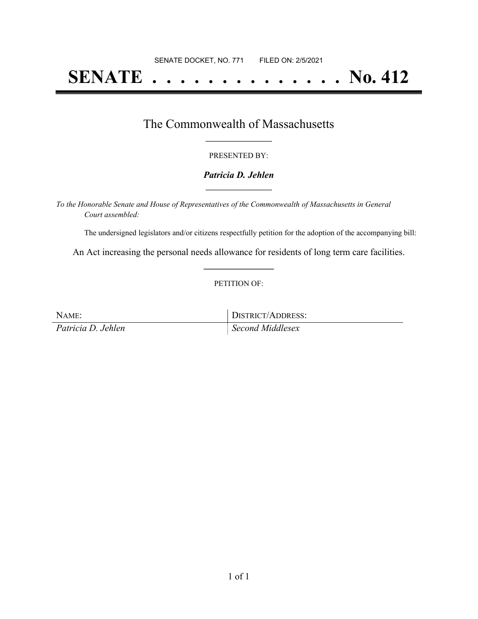# **SENATE . . . . . . . . . . . . . . No. 412**

## The Commonwealth of Massachusetts **\_\_\_\_\_\_\_\_\_\_\_\_\_\_\_\_\_**

#### PRESENTED BY:

#### *Patricia D. Jehlen* **\_\_\_\_\_\_\_\_\_\_\_\_\_\_\_\_\_**

*To the Honorable Senate and House of Representatives of the Commonwealth of Massachusetts in General Court assembled:*

The undersigned legislators and/or citizens respectfully petition for the adoption of the accompanying bill:

An Act increasing the personal needs allowance for residents of long term care facilities. **\_\_\_\_\_\_\_\_\_\_\_\_\_\_\_**

#### PETITION OF:

NAME: DISTRICT/ADDRESS: *Patricia D. Jehlen Second Middlesex*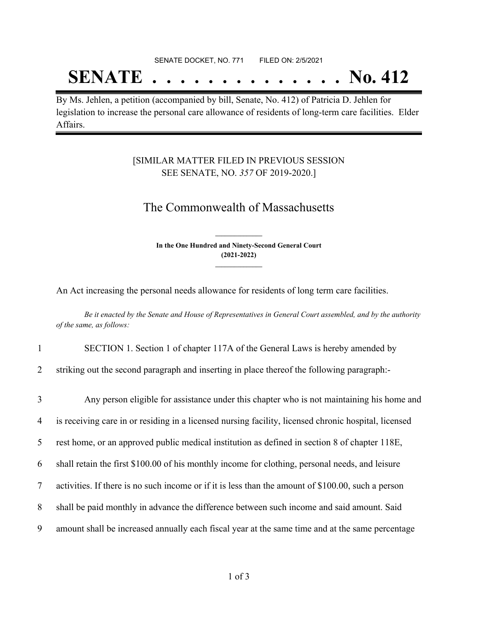## SENATE DOCKET, NO. 771 FILED ON: 2/5/2021

## **SENATE . . . . . . . . . . . . . . No. 412**

By Ms. Jehlen, a petition (accompanied by bill, Senate, No. 412) of Patricia D. Jehlen for legislation to increase the personal care allowance of residents of long-term care facilities. Elder Affairs.

### [SIMILAR MATTER FILED IN PREVIOUS SESSION SEE SENATE, NO. *357* OF 2019-2020.]

## The Commonwealth of Massachusetts

**In the One Hundred and Ninety-Second General Court (2021-2022) \_\_\_\_\_\_\_\_\_\_\_\_\_\_\_**

**\_\_\_\_\_\_\_\_\_\_\_\_\_\_\_**

An Act increasing the personal needs allowance for residents of long term care facilities.

Be it enacted by the Senate and House of Representatives in General Court assembled, and by the authority *of the same, as follows:*

1 SECTION 1. Section 1 of chapter 117A of the General Laws is hereby amended by

2 striking out the second paragraph and inserting in place thereof the following paragraph:-

 Any person eligible for assistance under this chapter who is not maintaining his home and is receiving care in or residing in a licensed nursing facility, licensed chronic hospital, licensed rest home, or an approved public medical institution as defined in section 8 of chapter 118E, shall retain the first \$100.00 of his monthly income for clothing, personal needs, and leisure activities. If there is no such income or if it is less than the amount of \$100.00, such a person shall be paid monthly in advance the difference between such income and said amount. Said amount shall be increased annually each fiscal year at the same time and at the same percentage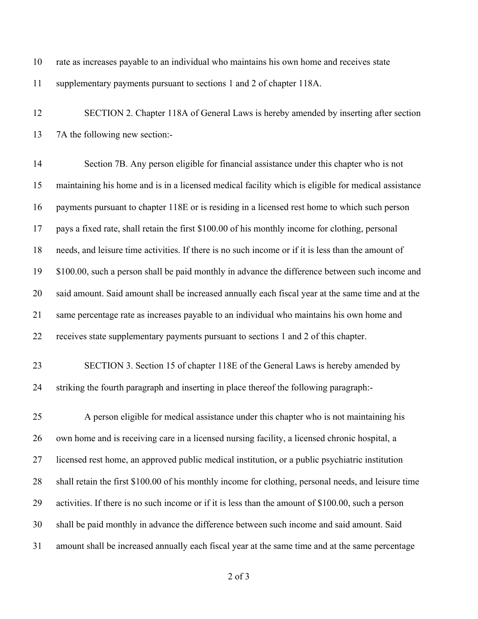- rate as increases payable to an individual who maintains his own home and receives state supplementary payments pursuant to sections 1 and 2 of chapter 118A.
- SECTION 2. Chapter 118A of General Laws is hereby amended by inserting after section 7A the following new section:-

 Section 7B. Any person eligible for financial assistance under this chapter who is not maintaining his home and is in a licensed medical facility which is eligible for medical assistance payments pursuant to chapter 118E or is residing in a licensed rest home to which such person pays a fixed rate, shall retain the first \$100.00 of his monthly income for clothing, personal needs, and leisure time activities. If there is no such income or if it is less than the amount of \$100.00, such a person shall be paid monthly in advance the difference between such income and said amount. Said amount shall be increased annually each fiscal year at the same time and at the same percentage rate as increases payable to an individual who maintains his own home and receives state supplementary payments pursuant to sections 1 and 2 of this chapter.

 SECTION 3. Section 15 of chapter 118E of the General Laws is hereby amended by striking the fourth paragraph and inserting in place thereof the following paragraph:-

 A person eligible for medical assistance under this chapter who is not maintaining his own home and is receiving care in a licensed nursing facility, a licensed chronic hospital, a licensed rest home, an approved public medical institution, or a public psychiatric institution shall retain the first \$100.00 of his monthly income for clothing, personal needs, and leisure time activities. If there is no such income or if it is less than the amount of \$100.00, such a person shall be paid monthly in advance the difference between such income and said amount. Said amount shall be increased annually each fiscal year at the same time and at the same percentage

of 3